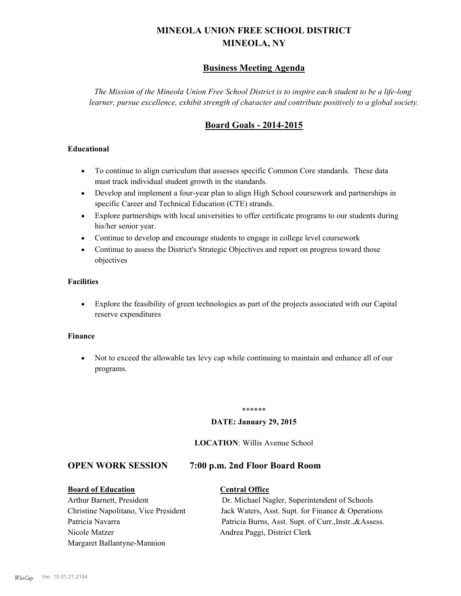# **MINEOLA UNION FREE SCHOOL DISTRICT MINEOLA, NY**

# **Business Meeting Agenda**

*The Mission of the Mineola Union Free School District is to inspire each student to be a life-long learner, pursue excellence, exhibit strength of character and contribute positively to a global society.*

# **Board Goals - 2014-2015**

#### **Educational**

- · To continue to align curriculum that assesses specific Common Core standards. These data must track individual student growth in the standards.
- · Develop and implement a four-year plan to align High School coursework and partnerships in specific Career and Technical Education (CTE) strands.
- · Explore partnerships with local universities to offer certificate programs to our students during his/her senior year.
- · Continue to develop and encourage students to engage in college level coursework
- Continue to assess the District's Strategic Objectives and report on progress toward those objectives

#### **Facilities**

· Explore the feasibility of green technologies as part of the projects associated with our Capital reserve expenditures

#### **Finance**

· Not to exceed the allowable tax levy cap while continuing to maintain and enhance all of our programs.

#### \*\*\*\*\*\*

#### **DATE: January 29, 2015**

#### **LOCATION**: Willis Avenue School

#### **OPEN WORK SESSION 7:00 p.m. 2nd Floor Board Room**

# **Board of Education Central Office**

# Arthur Barnett, President Dr. Michael Nagler, Superintendent of Schools Nicole Matzer Andrea Paggi, District Clerk Margaret Ballantyne-Mannion

Christine Napolitano, Vice President Jack Waters, Asst. Supt. for Finance & Operations Patricia Navarra Patricia Burns, Asst. Supt. of Curr., Instr., &Assess.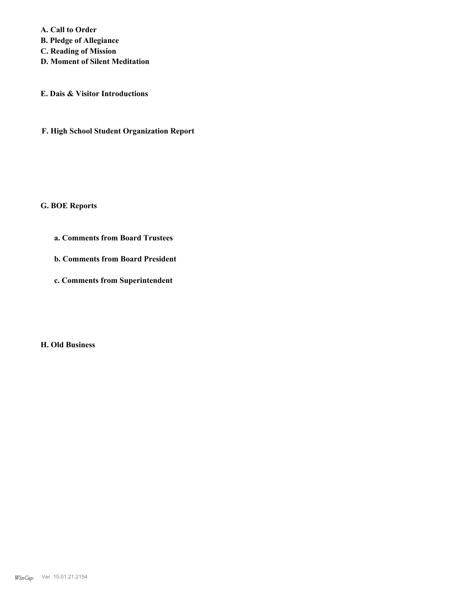**A. Call to Order** 

**B. Pledge of Allegiance**

**C. Reading of Mission**

**D. Moment of Silent Meditation**

**E. Dais & Visitor Introductions**

**F. High School Student Organization Report**

#### **G. BOE Reports**

- **a. Comments from Board Trustees**
- **b. Comments from Board President**
- **c. Comments from Superintendent**

**H. Old Business**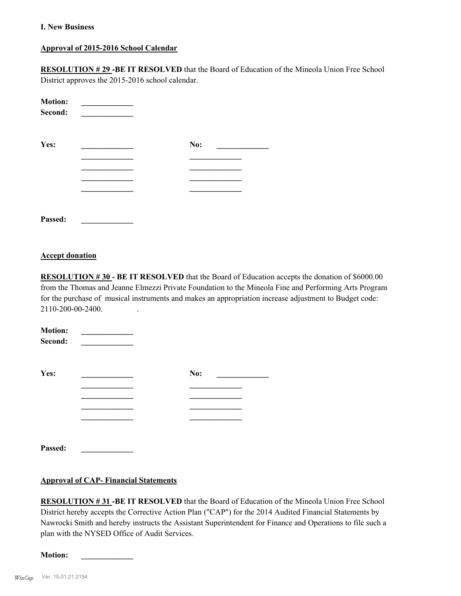#### **I. New Business**

#### **Approval of 2015-2016 School Calendar**

**RESOLUTION # 29 -BE IT RESOLVED** that the Board of Education of the Mineola Union Free School District approves the 2015-2016 school calendar.

| <b>Motion:</b><br>Second: |     |
|---------------------------|-----|
| Yes:                      | No: |
|                           |     |
|                           |     |
|                           |     |
| Passed:                   |     |

#### **Accept donation**

**RESOLUTION # 30 - BE IT RESOLVED** that the Board of Education accepts the donation of \$6000.00 from the Thomas and Jeanne Elmezzi Private Foundation to the Mineola Fine and Performing Arts Program for the purchase of musical instruments and makes an appropriation increase adjustment to Budget code: 2110-200-00-2400. .

| <b>Motion:</b><br>Second: |     |  |
|---------------------------|-----|--|
| Yes:                      | No: |  |
|                           |     |  |
|                           |     |  |
|                           |     |  |
|                           |     |  |
| Passed:                   |     |  |

#### **Approval of CAP- Financial Statements**

**RESOLUTION # 31 -BE IT RESOLVED** that the Board of Education of the Mineola Union Free School District hereby accepts the Corrective Action Plan ("CAP") for the 2014 Audited Financial Statements by Nawrocki Smith and hereby instructs the Assistant Superintendent for Finance and Operations to file such a plan with the NYSED Office of Audit Services.

 $$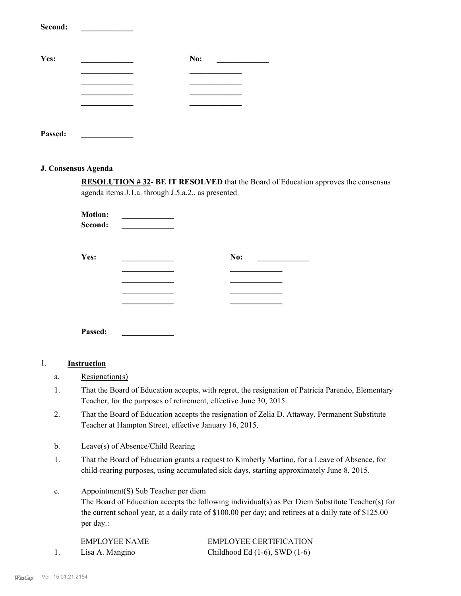| эесона: |     |
|---------|-----|
| Yes:    | No: |
|         |     |
|         |     |
|         |     |
|         |     |
|         |     |

# **Passed: \_\_\_\_\_\_\_\_\_\_\_\_\_**

**Second: \_\_\_\_\_\_\_\_\_\_\_\_\_**

#### **J. Consensus Agenda**

**RESOLUTION # 32- BE IT RESOLVED** that the Board of Education approves the consensus agenda items J.1.a. through J.5.a.2., as presented.

**Motion: \_\_\_\_\_\_\_\_\_\_\_\_\_**   $Second:$ 

| Yes: | No: |
|------|-----|
|      |     |
|      |     |
|      |     |
|      |     |

**Passed: \_\_\_\_\_\_\_\_\_\_\_\_\_**

#### 1. **Instruction**

- a. Resignation(s)
- That the Board of Education accepts, with regret, the resignation of Patricia Parendo, Elementary Teacher, for the purposes of retirement, effective June 30, 2015. 1.
- That the Board of Education accepts the resignation of Zelia D. Attaway, Permanent Substitute Teacher at Hampton Street, effective January 16, 2015. 2.
- b. Leave(s) of Absence/Child Rearing
- That the Board of Education grants a request to Kimberly Martino, for a Leave of Absence, for child-rearing purposes, using accumulated sick days, starting approximately June 8, 2015. 1.
- Appointment(S) Sub Teacher per diem c.

The Board of Education accepts the following individual(s) as Per Diem Substitute Teacher(s) for the current school year, at a daily rate of \$100.00 per day; and retirees at a daily rate of \$125.00 per day.:

| <b>EMPLOYEE NAME</b> | <b>EMPLOYEE CERTIFICATION</b>      |
|----------------------|------------------------------------|
| Lisa A. Mangino      | Childhood Ed $(1-6)$ , SWD $(1-6)$ |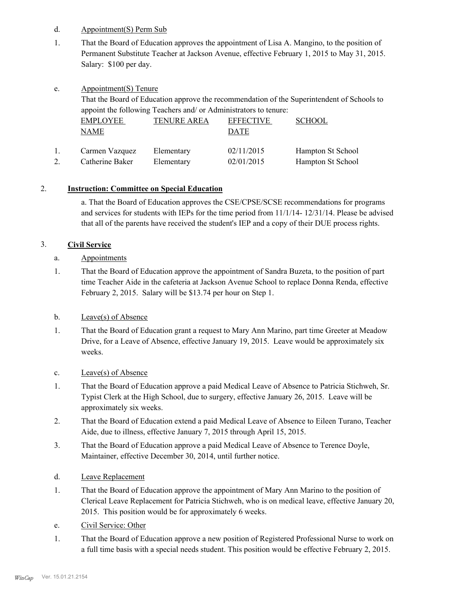- d. Appointment(S) Perm Sub
- That the Board of Education approves the appointment of Lisa A. Mangino, to the position of Permanent Substitute Teacher at Jackson Avenue, effective February 1, 2015 to May 31, 2015. Salary: \$100 per day. 1.
- Appointment(S) Tenure e.

That the Board of Education approve the recommendation of the Superintendent of Schools to appoint the following Teachers and/ or Administrators to tenure:

| <b>EMPLOYEE</b><br>NAME | <b>TENURE AREA</b> | <b>EFFECTIVE</b><br>DATE | <b>SCHOOL</b>            |
|-------------------------|--------------------|--------------------------|--------------------------|
| Carmen Vazquez          | Elementary         | 02/11/2015               | <b>Hampton St School</b> |
| Catherine Baker         | Elementary         | 02/01/2015               | Hampton St School        |

## 2. **Instruction: Committee on Special Education**

a. That the Board of Education approves the CSE/CPSE/SCSE recommendations for programs and services for students with IEPs for the time period from 11/1/14- 12/31/14. Please be advised that all of the parents have received the student's IEP and a copy of their DUE process rights.

# 3. **Civil Service**

- a. Appointments
- That the Board of Education approve the appointment of Sandra Buzeta, to the position of part time Teacher Aide in the cafeteria at Jackson Avenue School to replace Donna Renda, effective February 2, 2015. Salary will be \$13.74 per hour on Step 1. 1.
- b. Leave(s) of Absence
- That the Board of Education grant a request to Mary Ann Marino, part time Greeter at Meadow Drive, for a Leave of Absence, effective January 19, 2015. Leave would be approximately six weeks. 1.
- c. Leave(s) of Absence
- That the Board of Education approve a paid Medical Leave of Absence to Patricia Stichweh, Sr. Typist Clerk at the High School, due to surgery, effective January 26, 2015. Leave will be approximately six weeks. 1.
- That the Board of Education extend a paid Medical Leave of Absence to Eileen Turano, Teacher Aide, due to illness, effective January 7, 2015 through April 15, 2015. 2.
- That the Board of Education approve a paid Medical Leave of Absence to Terence Doyle, Maintainer, effective December 30, 2014, until further notice. 3.
- d. Leave Replacement
- That the Board of Education approve the appointment of Mary Ann Marino to the position of Clerical Leave Replacement for Patricia Stichweh, who is on medical leave, effective January 20, 2015. This position would be for approximately 6 weeks. 1.
- e. Civil Service: Other
- That the Board of Education approve a new position of Registered Professional Nurse to work on a full time basis with a special needs student. This position would be effective February 2, 2015. 1.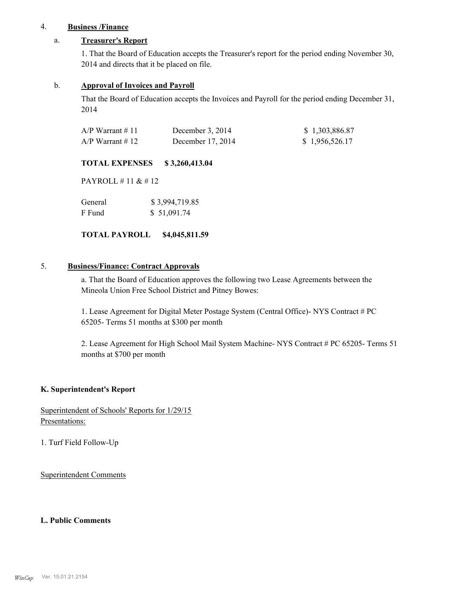#### 4. **Business /Finance**

#### a. **Treasurer's Report**

1. That the Board of Education accepts the Treasurer's report for the period ending November 30, 2014 and directs that it be placed on file.

#### b. **Approval of Invoices and Payroll**

That the Board of Education accepts the Invoices and Payroll for the period ending December 31, 2014

| $A/P$ Warrant # 11 | December $3, 2014$ | \$1,303,886.87 |
|--------------------|--------------------|----------------|
| $A/P$ Warrant #12  | December 17, 2014  | \$1,956,526.17 |

#### **TOTAL EXPENSES \$ 3,260,413.04**

PAYROLL # 11 & # 12

| General | \$3,994,719.85 |
|---------|----------------|
| F Fund  | \$51,091.74    |

#### **TOTAL PAYROLL \$4,045,811.59**

### 5. **Business/Finance: Contract Approvals**

a. That the Board of Education approves the following two Lease Agreements between the Mineola Union Free School District and Pitney Bowes:

1. Lease Agreement for Digital Meter Postage System (Central Office)- NYS Contract # PC 65205- Terms 51 months at \$300 per month

2. Lease Agreement for High School Mail System Machine- NYS Contract # PC 65205- Terms 51 months at \$700 per month

#### **K. Superintendent's Report**

Superintendent of Schools' Reports for 1/29/15 Presentations:

1. Turf Field Follow-Up

Superintendent Comments

#### **L. Public Comments**